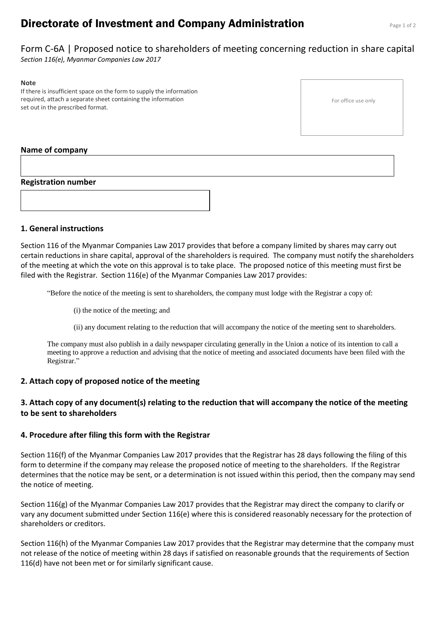# **Directorate of Investment and Company Administration** Page 1 of 2

Form C-6A | Proposed notice to shareholders of meeting concerning reduction in share capital *Section 116(e), Myanmar Companies Law 2017*

#### **Note**

If there is insufficient space on the form to supply the information required, attach a separate sheet containing the information set out in the prescribed format.

## **Name of company**

## **Registration number**



## **1. General instructions**

Section 116 of the Myanmar Companies Law 2017 provides that before a company limited by shares may carry out certain reductions in share capital, approval of the shareholders is required. The company must notify the shareholders of the meeting at which the vote on this approval is to take place. The proposed notice of this meeting must first be filed with the Registrar. Section 116(e) of the Myanmar Companies Law 2017 provides:

"Before the notice of the meeting is sent to shareholders, the company must lodge with the Registrar a copy of:

(i) the notice of the meeting; and

(ii) any document relating to the reduction that will accompany the notice of the meeting sent to shareholders.

The company must also publish in a daily newspaper circulating generally in the Union a notice of its intention to call a meeting to approve a reduction and advising that the notice of meeting and associated documents have been filed with the Registrar."

## **2. Attach copy of proposed notice of the meeting**

## **3. Attach copy of any document(s) relating to the reduction that will accompany the notice of the meeting to be sent to shareholders**

## **4. Procedure after filing this form with the Registrar**

Section 116(f) of the Myanmar Companies Law 2017 provides that the Registrar has 28 days following the filing of this form to determine if the company may release the proposed notice of meeting to the shareholders. If the Registrar determines that the notice may be sent, or a determination is not issued within this period, then the company may send the notice of meeting.

Section 116(g) of the Myanmar Companies Law 2017 provides that the Registrar may direct the company to clarify or vary any document submitted under Section 116(e) where this is considered reasonably necessary for the protection of shareholders or creditors.

Section 116(h) of the Myanmar Companies Law 2017 provides that the Registrar may determine that the company must not release of the notice of meeting within 28 days if satisfied on reasonable grounds that the requirements of Section 116(d) have not been met or for similarly significant cause.